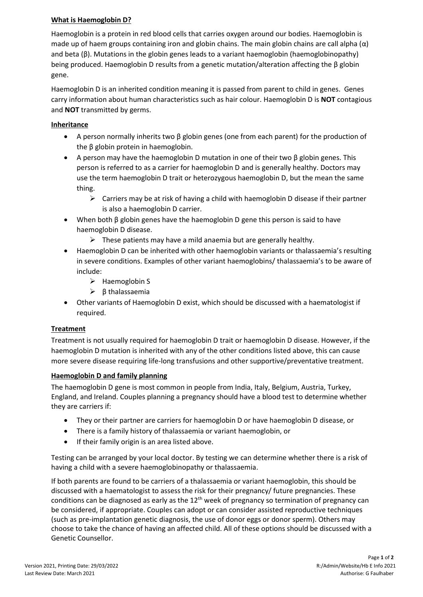## **What is Haemoglobin D?**

Haemoglobin is a protein in red blood cells that carries oxygen around our bodies. Haemoglobin is made up of haem groups containing iron and globin chains. The main globin chains are call alpha  $(\alpha)$ and beta (β). Mutations in the globin genes leads to a variant haemoglobin (haemoglobinopathy) being produced. Haemoglobin D results from a genetic mutation/alteration affecting the β globin gene.

Haemoglobin D is an inherited condition meaning it is passed from parent to child in genes. Genes carry information about human characteristics such as hair colour. Haemoglobin D is **NOT** contagious and **NOT** transmitted by germs.

### **Inheritance**

- A person normally inherits two β globin genes (one from each parent) for the production of the β globin protein in haemoglobin.
- A person may have the haemoglobin D mutation in one of their two β globin genes. This person is referred to as a carrier for haemoglobin D and is generally healthy. Doctors may use the term haemoglobin D trait or heterozygous haemoglobin D, but the mean the same thing.
	- $\triangleright$  Carriers may be at risk of having a child with haemoglobin D disease if their partner is also a haemoglobin D carrier.
- When both  $\beta$  globin genes have the haemoglobin D gene this person is said to have haemoglobin D disease.
	- $\triangleright$  These patients may have a mild anaemia but are generally healthy.
- Haemoglobin D can be inherited with other haemoglobin variants or thalassaemia's resulting in severe conditions. Examples of other variant haemoglobins/ thalassaemia's to be aware of include:
	- ➢ Haemoglobin S
	- ➢ β thalassaemia
- Other variants of Haemoglobin D exist, which should be discussed with a haematologist if required.

# **Treatment**

Treatment is not usually required for haemoglobin D trait or haemoglobin D disease. However, if the haemoglobin D mutation is inherited with any of the other conditions listed above, this can cause more severe disease requiring life-long transfusions and other supportive/preventative treatment.

### **Haemoglobin D and family planning**

The haemoglobin D gene is most common in people from India, Italy, Belgium, Austria, Turkey, England, and Ireland. Couples planning a pregnancy should have a blood test to determine whether they are carriers if:

- They or their partner are carriers for haemoglobin D or have haemoglobin D disease, or
- There is a family history of thalassaemia or variant haemoglobin, or
- If their family origin is an area listed above.

Testing can be arranged by your local doctor. By testing we can determine whether there is a risk of having a child with a severe haemoglobinopathy or thalassaemia.

If both parents are found to be carriers of a thalassaemia or variant haemoglobin, this should be discussed with a haematologist to assess the risk for their pregnancy/ future pregnancies. These conditions can be diagnosed as early as the 12<sup>th</sup> week of pregnancy so termination of pregnancy can be considered, if appropriate. Couples can adopt or can consider assisted reproductive techniques (such as pre-implantation genetic diagnosis, the use of donor eggs or donor sperm). Others may choose to take the chance of having an affected child. All of these options should be discussed with a Genetic Counsellor.